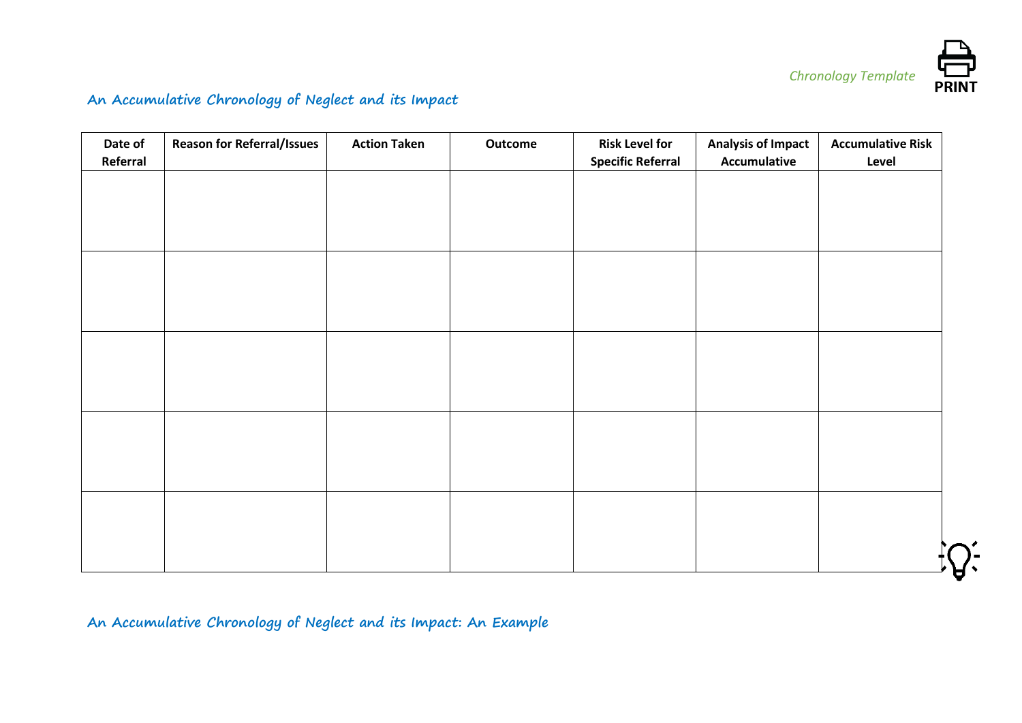

## **An Accumulative Chronology of Neglect and its Impact**

| Date of<br>Referral | <b>Reason for Referral/Issues</b> | <b>Action Taken</b> | Outcome | <b>Risk Level for</b><br><b>Specific Referral</b> | <b>Analysis of Impact</b><br><b>Accumulative</b> | <b>Accumulative Risk</b><br>Level |
|---------------------|-----------------------------------|---------------------|---------|---------------------------------------------------|--------------------------------------------------|-----------------------------------|
|                     |                                   |                     |         |                                                   |                                                  |                                   |
|                     |                                   |                     |         |                                                   |                                                  |                                   |
|                     |                                   |                     |         |                                                   |                                                  |                                   |
|                     |                                   |                     |         |                                                   |                                                  |                                   |
|                     |                                   |                     |         |                                                   |                                                  |                                   |
|                     |                                   |                     |         |                                                   |                                                  |                                   |
|                     |                                   |                     |         |                                                   |                                                  |                                   |
|                     |                                   |                     |         |                                                   |                                                  |                                   |
|                     |                                   |                     |         |                                                   |                                                  |                                   |
|                     |                                   |                     |         |                                                   |                                                  |                                   |

## **An Accumulative Chronology of Neglect and its Impact: An Example**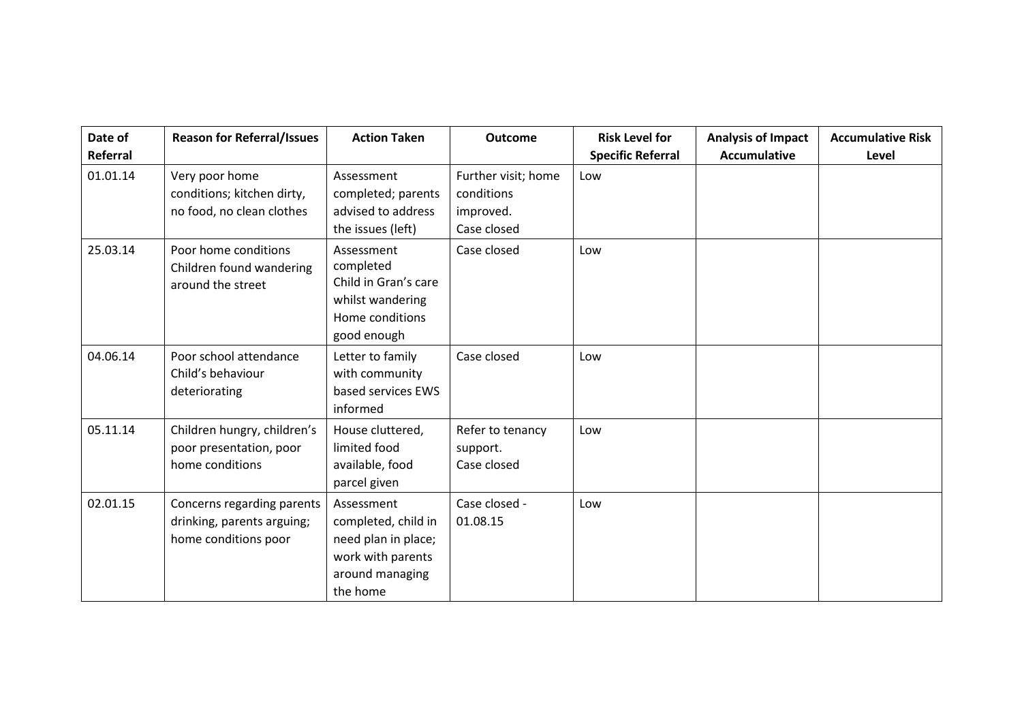| Date of<br>Referral | <b>Reason for Referral/Issues</b>                                                | <b>Action Taken</b>                                                                                          | <b>Outcome</b>                                                | <b>Risk Level for</b><br><b>Specific Referral</b> | <b>Analysis of Impact</b><br><b>Accumulative</b> | <b>Accumulative Risk</b><br>Level |
|---------------------|----------------------------------------------------------------------------------|--------------------------------------------------------------------------------------------------------------|---------------------------------------------------------------|---------------------------------------------------|--------------------------------------------------|-----------------------------------|
| 01.01.14            | Very poor home<br>conditions; kitchen dirty,<br>no food, no clean clothes        | Assessment<br>completed; parents<br>advised to address<br>the issues (left)                                  | Further visit; home<br>conditions<br>improved.<br>Case closed | Low                                               |                                                  |                                   |
| 25.03.14            | Poor home conditions<br>Children found wandering<br>around the street            | Assessment<br>completed<br>Child in Gran's care<br>whilst wandering<br>Home conditions<br>good enough        | Case closed                                                   | Low                                               |                                                  |                                   |
| 04.06.14            | Poor school attendance<br>Child's behaviour<br>deteriorating                     | Letter to family<br>with community<br>based services EWS<br>informed                                         | Case closed                                                   | Low                                               |                                                  |                                   |
| 05.11.14            | Children hungry, children's<br>poor presentation, poor<br>home conditions        | House cluttered,<br>limited food<br>available, food<br>parcel given                                          | Refer to tenancy<br>support.<br>Case closed                   | Low                                               |                                                  |                                   |
| 02.01.15            | Concerns regarding parents<br>drinking, parents arguing;<br>home conditions poor | Assessment<br>completed, child in<br>need plan in place;<br>work with parents<br>around managing<br>the home | Case closed -<br>01.08.15                                     | Low                                               |                                                  |                                   |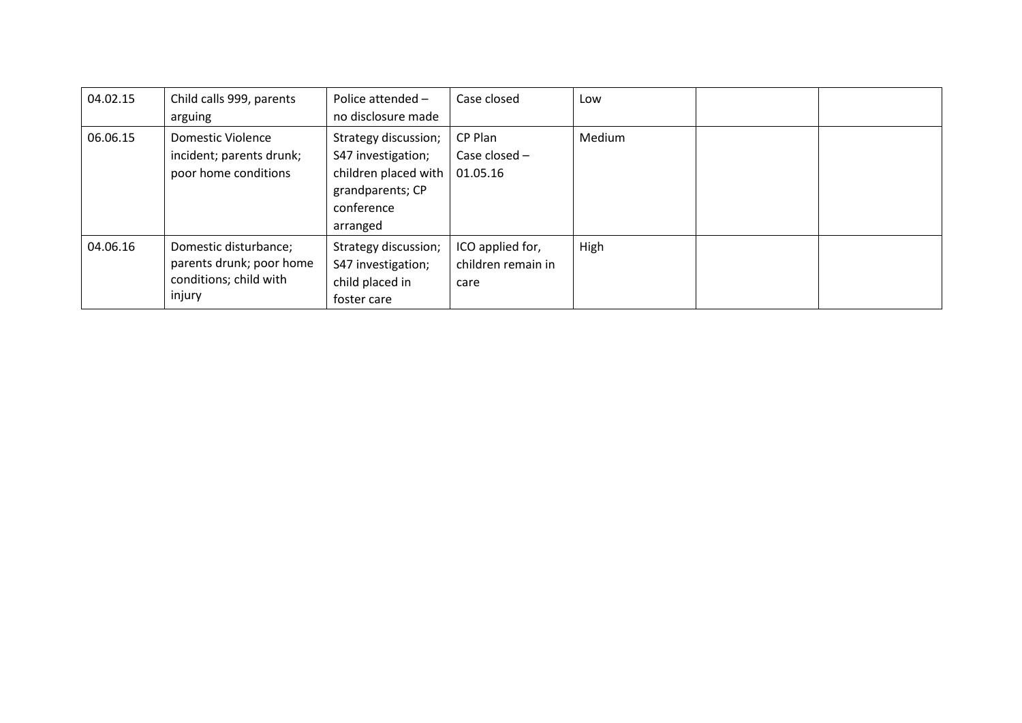| 04.02.15 | Child calls 999, parents<br>arguing                                                   | Police attended -<br>no disclosure made                                                                          | Case closed                                    | Low    |  |
|----------|---------------------------------------------------------------------------------------|------------------------------------------------------------------------------------------------------------------|------------------------------------------------|--------|--|
| 06.06.15 | Domestic Violence<br>incident; parents drunk;<br>poor home conditions                 | Strategy discussion;<br>S47 investigation;<br>children placed with<br>grandparents; CP<br>conference<br>arranged | CP Plan<br>Case closed -<br>01.05.16           | Medium |  |
| 04.06.16 | Domestic disturbance;<br>parents drunk; poor home<br>conditions; child with<br>injury | Strategy discussion;<br>S47 investigation;<br>child placed in<br>foster care                                     | ICO applied for,<br>children remain in<br>care | High   |  |